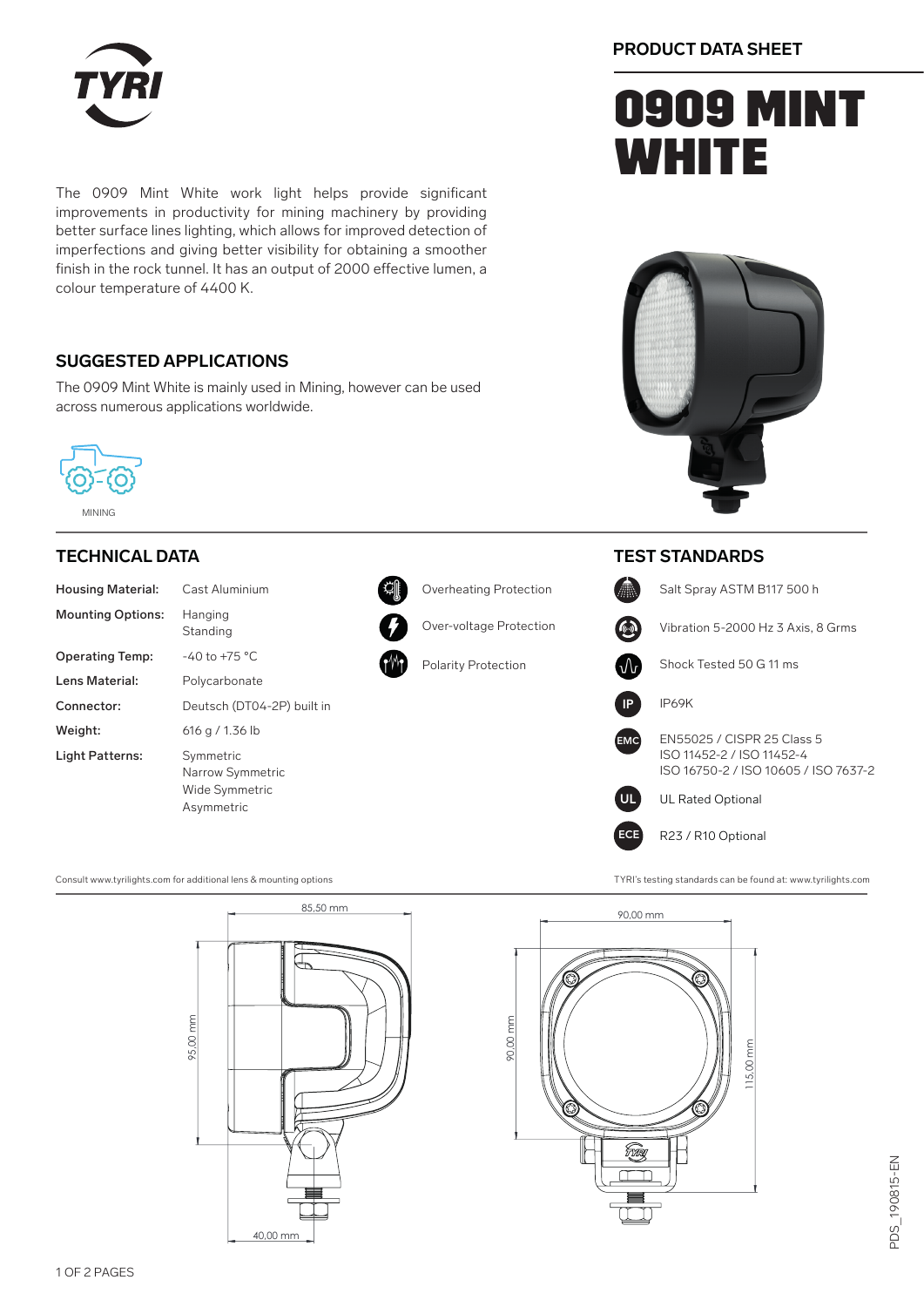

The 0909 Mint White work light helps provide significant improvements in productivity for mining machinery by providing better surface lines lighting, which allows for improved detection of imperfections and giving better visibility for obtaining a smoother finish in the rock tunnel. It has an output of 2000 effective lumen, a colour temperature of 4400 K.

### **SUGGESTED APPLICATIONS**

The 0909 Mint White is mainly used in Mining, however can be used across numerous applications worldwide.



#### MINING

#### **TECHNICAL DATA**

| <b>Housing Material:</b> | Cast Aluminium                                         |
|--------------------------|--------------------------------------------------------|
| <b>Mounting Options:</b> | Hanging<br>Standing                                    |
| <b>Operating Temp:</b>   | $-40$ to $+75$ °C                                      |
| Lens Material:           | Polycarbonate                                          |
| Connector:               | Deutsch (DT04-2P                                       |
| Weight:                  | 616 g / 1.36 lb                                        |
| Light Patterns:          | Symmetric<br><b>Narrow Symmetric</b><br>Wide Symmetric |





Over-voltage Protection



Polarity Protection

### **PRODUCT DATA SHEET**

# **0909 MINT WHITE**



#### **TEST STANDARDS**



Consult www.tyrilights.com for additional lens & mounting options TYRI's testing standards can be found at: www.tyrilights.com

Asymmetric